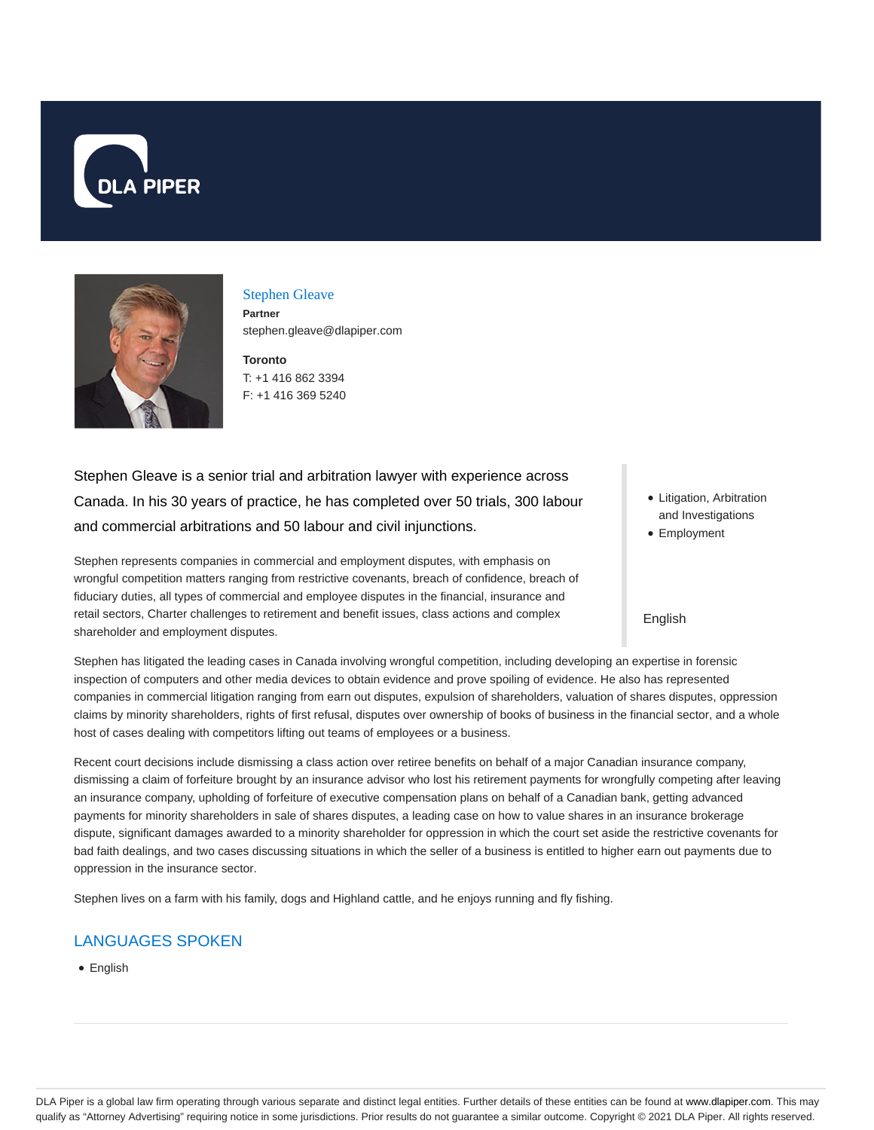



### Stephen Gleave

**Partner** stephen.gleave@dlapiper.com

**Toronto** T: +1 416 862 3394 F: +1 416 369 5240

Stephen Gleave is a senior trial and arbitration lawyer with experience across Canada. In his 30 years of practice, he has completed over 50 trials, 300 labour and commercial arbitrations and 50 labour and civil injunctions.

Stephen represents companies in commercial and employment disputes, with emphasis on wrongful competition matters ranging from restrictive covenants, breach of confidence, breach of fiduciary duties, all types of commercial and employee disputes in the financial, insurance and retail sectors, Charter challenges to retirement and benefit issues, class actions and complex shareholder and employment disputes.

- Litigation, Arbitration and Investigations
- Employment

#### English

Stephen has litigated the leading cases in Canada involving wrongful competition, including developing an expertise in forensic inspection of computers and other media devices to obtain evidence and prove spoiling of evidence. He also has represented companies in commercial litigation ranging from earn out disputes, expulsion of shareholders, valuation of shares disputes, oppression claims by minority shareholders, rights of first refusal, disputes over ownership of books of business in the financial sector, and a whole host of cases dealing with competitors lifting out teams of employees or a business.

Recent court decisions include dismissing a class action over retiree benefits on behalf of a major Canadian insurance company, dismissing a claim of forfeiture brought by an insurance advisor who lost his retirement payments for wrongfully competing after leaving an insurance company, upholding of forfeiture of executive compensation plans on behalf of a Canadian bank, getting advanced payments for minority shareholders in sale of shares disputes, a leading case on how to value shares in an insurance brokerage dispute, significant damages awarded to a minority shareholder for oppression in which the court set aside the restrictive covenants for bad faith dealings, and two cases discussing situations in which the seller of a business is entitled to higher earn out payments due to oppression in the insurance sector.

Stephen lives on a farm with his family, dogs and Highland cattle, and he enjoys running and fly fishing.

# LANGUAGES SPOKEN

• English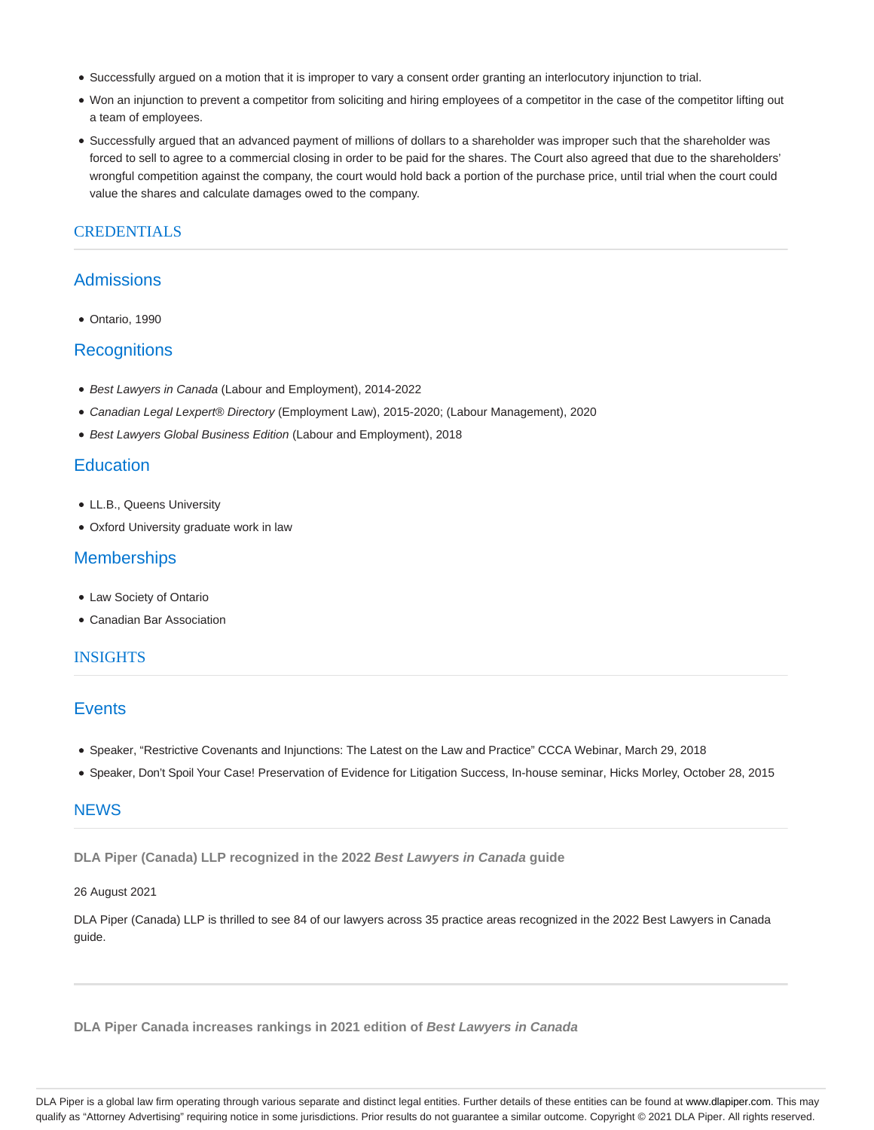- Successfully argued on a motion that it is improper to vary a consent order granting an interlocutory injunction to trial.
- Won an injunction to prevent a competitor from soliciting and hiring employees of a competitor in the case of the competitor lifting out a team of employees.
- Successfully argued that an advanced payment of millions of dollars to a shareholder was improper such that the shareholder was forced to sell to agree to a commercial closing in order to be paid for the shares. The Court also agreed that due to the shareholders' wrongful competition against the company, the court would hold back a portion of the purchase price, until trial when the court could value the shares and calculate damages owed to the company.

## CREDENTIALS

## Admissions

Ontario, 1990

### **Recognitions**

- Best Lawyers in Canada (Labour and Employment), 2014-2022
- Canadian Legal Lexpert® Directory (Employment Law), 2015-2020; (Labour Management), 2020
- Best Lawyers Global Business Edition (Labour and Employment), 2018

## **Education**

- LL.B., Queens University
- Oxford University graduate work in law

### **Memberships**

- Law Society of Ontario
- Canadian Bar Association

#### **INSIGHTS**

## **Events**

- Speaker, "Restrictive Covenants and Injunctions: The Latest on the Law and Practice" CCCA Webinar, March 29, 2018
- Speaker, Don't Spoil Your Case! Preservation of Evidence for Litigation Success, In-house seminar, Hicks Morley, October 28, 2015

### **NEWS**

**DLA Piper (Canada) LLP recognized in the 2022 Best Lawyers in Canada guide**

#### 26 August 2021

DLA Piper (Canada) LLP is thrilled to see 84 of our lawyers across 35 practice areas recognized in the 2022 Best Lawyers in Canada guide.

**DLA Piper Canada increases rankings in 2021 edition of Best Lawyers in Canada**

DLA Piper is a global law firm operating through various separate and distinct legal entities. Further details of these entities can be found at www.dlapiper.com. This may qualify as "Attorney Advertising" requiring notice in some jurisdictions. Prior results do not guarantee a similar outcome. Copyright © 2021 DLA Piper. All rights reserved.